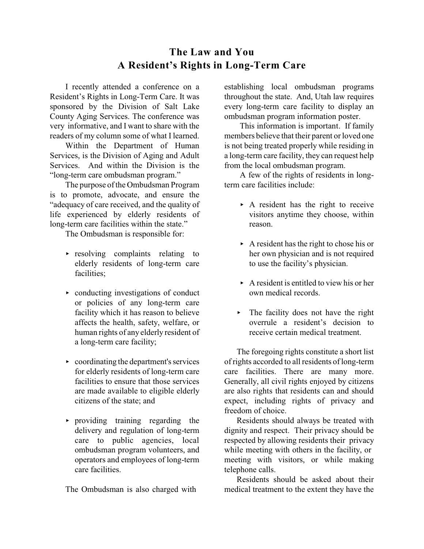## **The Law and You A Resident's Rights in Long-Term Care**

I recently attended a conference on a Resident's Rights in Long-Term Care. It was sponsored by the Division of Salt Lake County Aging Services. The conference was very informative, and I want to share with the readers of my column some of what I learned.

Within the Department of Human Services, is the Division of Aging and Adult Services. And within the Division is the "long-term care ombudsman program."

The purpose of the Ombudsman Program is to promote, advocate, and ensure the "adequacy of care received, and the quality of life experienced by elderly residents of long-term care facilities within the state."

The Ombudsman is responsible for:

- $\rightarrow$  resolving complaints relating to elderly residents of long-term care facilities;
- conducting investigations of conduct or policies of any long-term care facility which it has reason to believe affects the health, safety, welfare, or human rights of any elderly resident of a long-term care facility;
- $\rightarrow$  coordinating the department's services for elderly residents of long-term care facilities to ensure that those services are made available to eligible elderly citizens of the state; and
- < providing training regarding the delivery and regulation of long-term care to public agencies, local ombudsman program volunteers, and operators and employees of long-term care facilities.

The Ombudsman is also charged with

establishing local ombudsman programs throughout the state. And, Utah law requires every long-term care facility to display an ombudsman program information poster.

This information is important. If family members believe that their parent or loved one is not being treated properly while residing in a long-term care facility, they can request help from the local ombudsman program.

A few of the rights of residents in longterm care facilities include:

- $\triangleright$  A resident has the right to receive visitors anytime they choose, within reason.
- $\triangleright$  A resident has the right to chose his or her own physician and is not required to use the facility's physician.
- $\triangleright$  A resident is entitled to view his or her own medical records.
- $\triangleright$  The facility does not have the right overrule a resident's decision to receive certain medical treatment.

The foregoing rights constitute a short list of rights accorded to all residents of long-term care facilities. There are many more. Generally, all civil rights enjoyed by citizens are also rights that residents can and should expect, including rights of privacy and freedom of choice.

Residents should always be treated with dignity and respect. Their privacy should be respected by allowing residents their privacy while meeting with others in the facility, or meeting with visitors, or while making telephone calls.

Residents should be asked about their medical treatment to the extent they have the